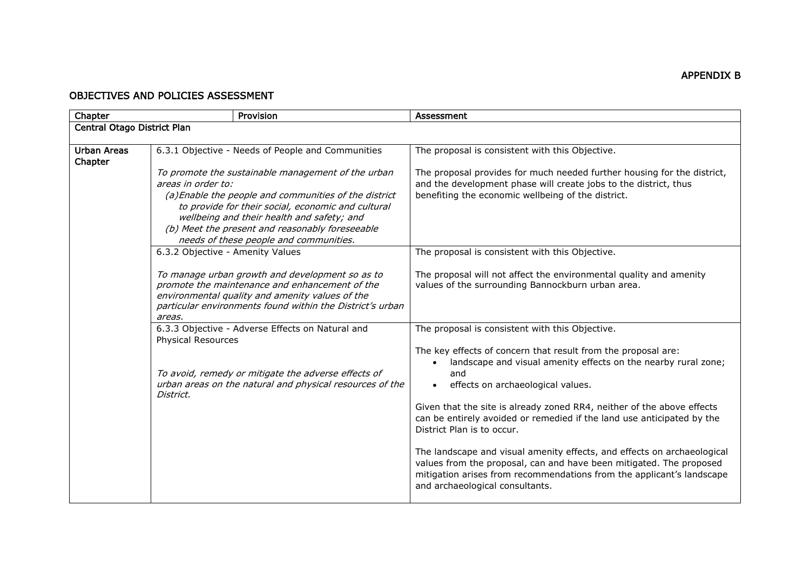## OBJECTIVES AND POLICIES ASSESSMENT

| Chapter                       | Provision                                                                                                                                                                                                                                                                                                                          | Assessment                                                                                                                                                                                                                                                 |
|-------------------------------|------------------------------------------------------------------------------------------------------------------------------------------------------------------------------------------------------------------------------------------------------------------------------------------------------------------------------------|------------------------------------------------------------------------------------------------------------------------------------------------------------------------------------------------------------------------------------------------------------|
| Central Otago District Plan   |                                                                                                                                                                                                                                                                                                                                    |                                                                                                                                                                                                                                                            |
|                               |                                                                                                                                                                                                                                                                                                                                    |                                                                                                                                                                                                                                                            |
| <b>Urban Areas</b><br>Chapter | 6.3.1 Objective - Needs of People and Communities                                                                                                                                                                                                                                                                                  | The proposal is consistent with this Objective.                                                                                                                                                                                                            |
|                               | To promote the sustainable management of the urban<br>areas in order to:<br>(a) Enable the people and communities of the district<br>to provide for their social, economic and cultural<br>wellbeing and their health and safety; and<br>(b) Meet the present and reasonably foreseeable<br>needs of these people and communities. | The proposal provides for much needed further housing for the district,<br>and the development phase will create jobs to the district, thus<br>benefiting the economic wellbeing of the district.                                                          |
|                               | 6.3.2 Objective - Amenity Values                                                                                                                                                                                                                                                                                                   | The proposal is consistent with this Objective.                                                                                                                                                                                                            |
|                               | To manage urban growth and development so as to<br>promote the maintenance and enhancement of the<br>environmental quality and amenity values of the<br>particular environments found within the District's urban<br>areas.                                                                                                        | The proposal will not affect the environmental quality and amenity<br>values of the surrounding Bannockburn urban area.                                                                                                                                    |
|                               | 6.3.3 Objective - Adverse Effects on Natural and                                                                                                                                                                                                                                                                                   | The proposal is consistent with this Objective.                                                                                                                                                                                                            |
|                               | <b>Physical Resources</b><br>To avoid, remedy or mitigate the adverse effects of<br>urban areas on the natural and physical resources of the<br>District.                                                                                                                                                                          | The key effects of concern that result from the proposal are:<br>landscape and visual amenity effects on the nearby rural zone;<br>and<br>effects on archaeological values.                                                                                |
|                               |                                                                                                                                                                                                                                                                                                                                    | Given that the site is already zoned RR4, neither of the above effects<br>can be entirely avoided or remedied if the land use anticipated by the<br>District Plan is to occur.                                                                             |
|                               |                                                                                                                                                                                                                                                                                                                                    | The landscape and visual amenity effects, and effects on archaeological<br>values from the proposal, can and have been mitigated. The proposed<br>mitigation arises from recommendations from the applicant's landscape<br>and archaeological consultants. |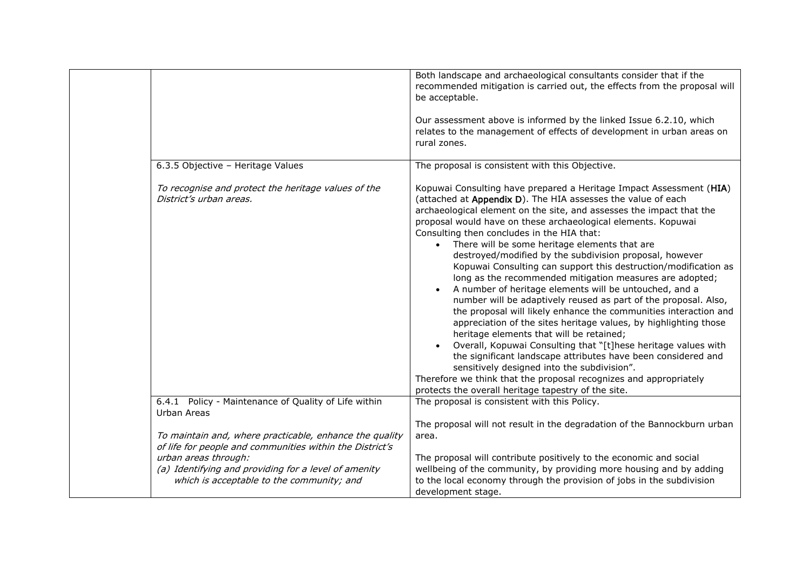|                                                                                                                     | Both landscape and archaeological consultants consider that if the<br>recommended mitigation is carried out, the effects from the proposal will<br>be acceptable.                                                                                                                                                                                                                                                                                                                                                                                                                                                                                                                                                                                                                                                                                                                                                                                                                                                                                                                                                                                                                                    |
|---------------------------------------------------------------------------------------------------------------------|------------------------------------------------------------------------------------------------------------------------------------------------------------------------------------------------------------------------------------------------------------------------------------------------------------------------------------------------------------------------------------------------------------------------------------------------------------------------------------------------------------------------------------------------------------------------------------------------------------------------------------------------------------------------------------------------------------------------------------------------------------------------------------------------------------------------------------------------------------------------------------------------------------------------------------------------------------------------------------------------------------------------------------------------------------------------------------------------------------------------------------------------------------------------------------------------------|
|                                                                                                                     | Our assessment above is informed by the linked Issue 6.2.10, which<br>relates to the management of effects of development in urban areas on<br>rural zones.                                                                                                                                                                                                                                                                                                                                                                                                                                                                                                                                                                                                                                                                                                                                                                                                                                                                                                                                                                                                                                          |
| 6.3.5 Objective - Heritage Values                                                                                   | The proposal is consistent with this Objective.                                                                                                                                                                                                                                                                                                                                                                                                                                                                                                                                                                                                                                                                                                                                                                                                                                                                                                                                                                                                                                                                                                                                                      |
| To recognise and protect the heritage values of the<br>District's urban areas.                                      | Kopuwai Consulting have prepared a Heritage Impact Assessment (HIA)<br>(attached at Appendix D). The HIA assesses the value of each<br>archaeological element on the site, and assesses the impact that the<br>proposal would have on these archaeological elements. Kopuwai<br>Consulting then concludes in the HIA that:<br>There will be some heritage elements that are<br>destroyed/modified by the subdivision proposal, however<br>Kopuwai Consulting can support this destruction/modification as<br>long as the recommended mitigation measures are adopted;<br>A number of heritage elements will be untouched, and a<br>number will be adaptively reused as part of the proposal. Also,<br>the proposal will likely enhance the communities interaction and<br>appreciation of the sites heritage values, by highlighting those<br>heritage elements that will be retained;<br>Overall, Kopuwai Consulting that "[t]hese heritage values with<br>the significant landscape attributes have been considered and<br>sensitively designed into the subdivision".<br>Therefore we think that the proposal recognizes and appropriately<br>protects the overall heritage tapestry of the site. |
| 6.4.1 Policy - Maintenance of Quality of Life within<br>Urban Areas                                                 | The proposal is consistent with this Policy.                                                                                                                                                                                                                                                                                                                                                                                                                                                                                                                                                                                                                                                                                                                                                                                                                                                                                                                                                                                                                                                                                                                                                         |
|                                                                                                                     | The proposal will not result in the degradation of the Bannockburn urban                                                                                                                                                                                                                                                                                                                                                                                                                                                                                                                                                                                                                                                                                                                                                                                                                                                                                                                                                                                                                                                                                                                             |
| To maintain and, where practicable, enhance the quality<br>of life for people and communities within the District's | area.                                                                                                                                                                                                                                                                                                                                                                                                                                                                                                                                                                                                                                                                                                                                                                                                                                                                                                                                                                                                                                                                                                                                                                                                |
| urban areas through:                                                                                                | The proposal will contribute positively to the economic and social                                                                                                                                                                                                                                                                                                                                                                                                                                                                                                                                                                                                                                                                                                                                                                                                                                                                                                                                                                                                                                                                                                                                   |
| (a) Identifying and providing for a level of amenity<br>which is acceptable to the community; and                   | wellbeing of the community, by providing more housing and by adding<br>to the local economy through the provision of jobs in the subdivision                                                                                                                                                                                                                                                                                                                                                                                                                                                                                                                                                                                                                                                                                                                                                                                                                                                                                                                                                                                                                                                         |
|                                                                                                                     | development stage.                                                                                                                                                                                                                                                                                                                                                                                                                                                                                                                                                                                                                                                                                                                                                                                                                                                                                                                                                                                                                                                                                                                                                                                   |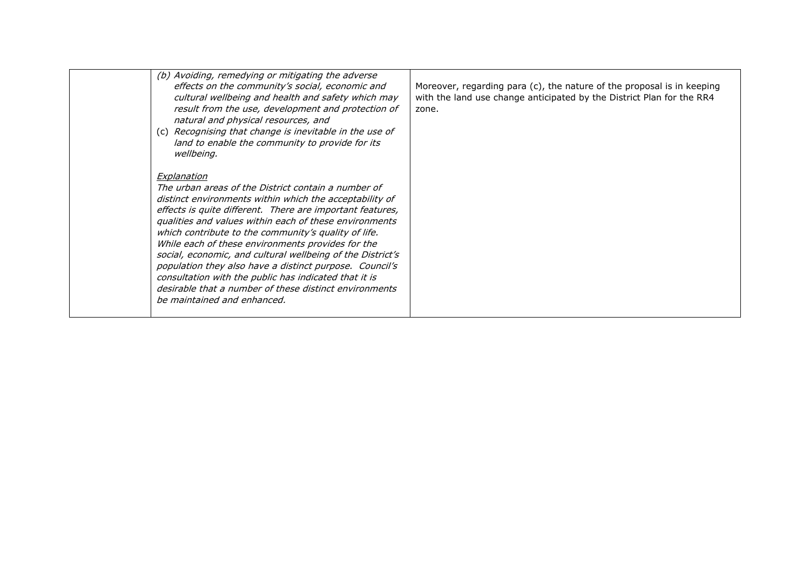| (b) Avoiding, remedying or mitigating the adverse<br>effects on the community's social, economic and<br>cultural wellbeing and health and safety which may<br>result from the use, development and protection of<br>natural and physical resources, and<br>(c) Recognising that change is inevitable in the use of<br>land to enable the community to provide for its<br>wellbeing.                                                                                                                                                                                                                                                          | Moreover, regarding para (c), the nature of the proposal is in keeping<br>with the land use change anticipated by the District Plan for the RR4<br>zone. |
|----------------------------------------------------------------------------------------------------------------------------------------------------------------------------------------------------------------------------------------------------------------------------------------------------------------------------------------------------------------------------------------------------------------------------------------------------------------------------------------------------------------------------------------------------------------------------------------------------------------------------------------------|----------------------------------------------------------------------------------------------------------------------------------------------------------|
| Explanation<br>The urban areas of the District contain a number of<br>distinct environments within which the acceptability of<br>effects is quite different. There are important features,<br>qualities and values within each of these environments<br>which contribute to the community's quality of life.<br>While each of these environments provides for the<br>social, economic, and cultural wellbeing of the District's<br>population they also have a distinct purpose. Council's<br>consultation with the public has indicated that it is<br>desirable that a number of these distinct environments<br>be maintained and enhanced. |                                                                                                                                                          |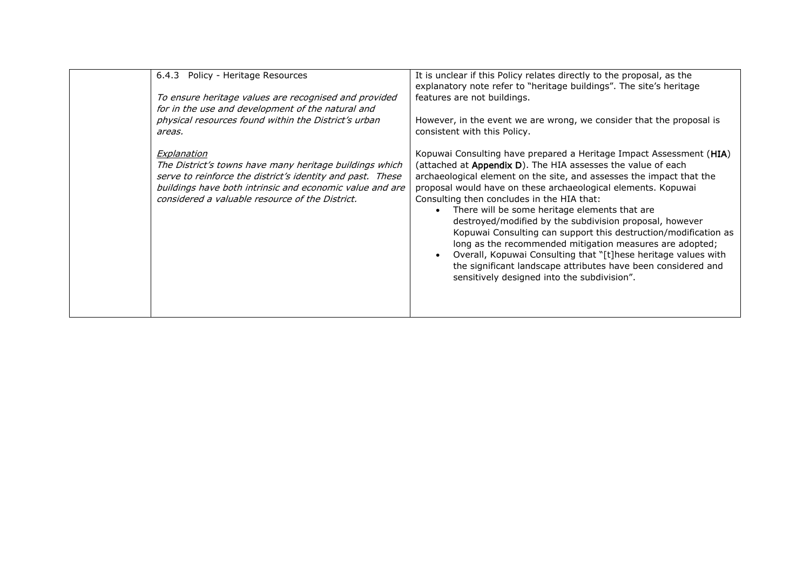| Policy - Heritage Resources<br>6.4.3<br>To ensure heritage values are recognised and provided<br>for in the use and development of the natural and<br>physical resources found within the District's urban<br>areas.<br>Explanation<br>The District's towns have many heritage buildings which<br>serve to reinforce the district's identity and past. These<br>buildings have both intrinsic and economic value and are<br>considered a valuable resource of the District. | It is unclear if this Policy relates directly to the proposal, as the<br>explanatory note refer to "heritage buildings". The site's heritage<br>features are not buildings.<br>However, in the event we are wrong, we consider that the proposal is<br>consistent with this Policy.<br>Kopuwai Consulting have prepared a Heritage Impact Assessment (HIA)<br>(attached at Appendix D). The HIA assesses the value of each<br>archaeological element on the site, and assesses the impact that the<br>proposal would have on these archaeological elements. Kopuwai<br>Consulting then concludes in the HIA that:<br>There will be some heritage elements that are<br>destroyed/modified by the subdivision proposal, however<br>Kopuwai Consulting can support this destruction/modification as<br>long as the recommended mitigation measures are adopted;<br>Overall, Kopuwai Consulting that "[t]hese heritage values with |
|-----------------------------------------------------------------------------------------------------------------------------------------------------------------------------------------------------------------------------------------------------------------------------------------------------------------------------------------------------------------------------------------------------------------------------------------------------------------------------|--------------------------------------------------------------------------------------------------------------------------------------------------------------------------------------------------------------------------------------------------------------------------------------------------------------------------------------------------------------------------------------------------------------------------------------------------------------------------------------------------------------------------------------------------------------------------------------------------------------------------------------------------------------------------------------------------------------------------------------------------------------------------------------------------------------------------------------------------------------------------------------------------------------------------------|
|-----------------------------------------------------------------------------------------------------------------------------------------------------------------------------------------------------------------------------------------------------------------------------------------------------------------------------------------------------------------------------------------------------------------------------------------------------------------------------|--------------------------------------------------------------------------------------------------------------------------------------------------------------------------------------------------------------------------------------------------------------------------------------------------------------------------------------------------------------------------------------------------------------------------------------------------------------------------------------------------------------------------------------------------------------------------------------------------------------------------------------------------------------------------------------------------------------------------------------------------------------------------------------------------------------------------------------------------------------------------------------------------------------------------------|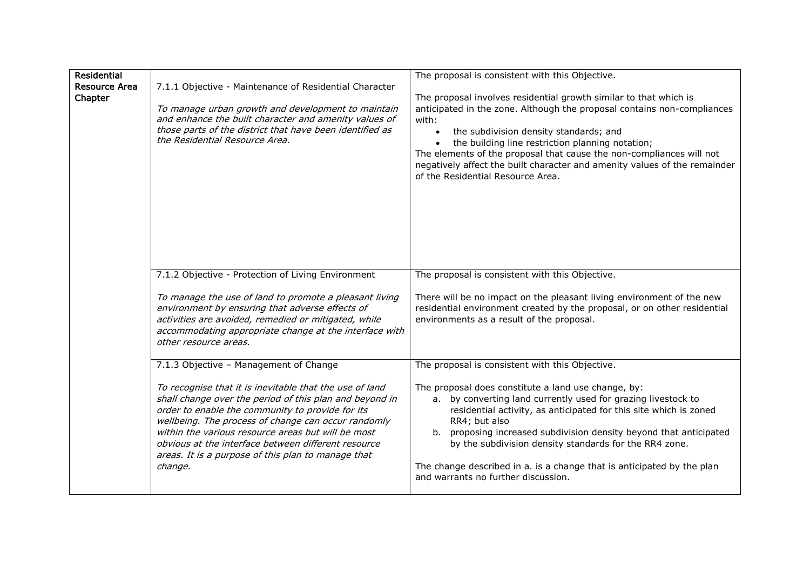| <b>Residential</b><br><b>Resource Area</b><br>Chapter | 7.1.1 Objective - Maintenance of Residential Character<br>To manage urban growth and development to maintain<br>and enhance the built character and amenity values of<br>those parts of the district that have been identified as<br>the Residential Resource Area.                                                                                                                                                                                   | The proposal is consistent with this Objective.<br>The proposal involves residential growth similar to that which is<br>anticipated in the zone. Although the proposal contains non-compliances<br>with:<br>the subdivision density standards; and<br>the building line restriction planning notation;<br>The elements of the proposal that cause the non-compliances will not<br>negatively affect the built character and amenity values of the remainder<br>of the Residential Resource Area.               |
|-------------------------------------------------------|-------------------------------------------------------------------------------------------------------------------------------------------------------------------------------------------------------------------------------------------------------------------------------------------------------------------------------------------------------------------------------------------------------------------------------------------------------|----------------------------------------------------------------------------------------------------------------------------------------------------------------------------------------------------------------------------------------------------------------------------------------------------------------------------------------------------------------------------------------------------------------------------------------------------------------------------------------------------------------|
|                                                       | 7.1.2 Objective - Protection of Living Environment<br>To manage the use of land to promote a pleasant living<br>environment by ensuring that adverse effects of<br>activities are avoided, remedied or mitigated, while<br>accommodating appropriate change at the interface with<br>other resource areas.                                                                                                                                            | The proposal is consistent with this Objective.<br>There will be no impact on the pleasant living environment of the new<br>residential environment created by the proposal, or on other residential<br>environments as a result of the proposal.                                                                                                                                                                                                                                                              |
|                                                       | 7.1.3 Objective - Management of Change<br>To recognise that it is inevitable that the use of land<br>shall change over the period of this plan and beyond in<br>order to enable the community to provide for its<br>wellbeing. The process of change can occur randomly<br>within the various resource areas but will be most<br>obvious at the interface between different resource<br>areas. It is a purpose of this plan to manage that<br>change. | The proposal is consistent with this Objective.<br>The proposal does constitute a land use change, by:<br>a. by converting land currently used for grazing livestock to<br>residential activity, as anticipated for this site which is zoned<br>RR4; but also<br>b. proposing increased subdivision density beyond that anticipated<br>by the subdivision density standards for the RR4 zone.<br>The change described in a. is a change that is anticipated by the plan<br>and warrants no further discussion. |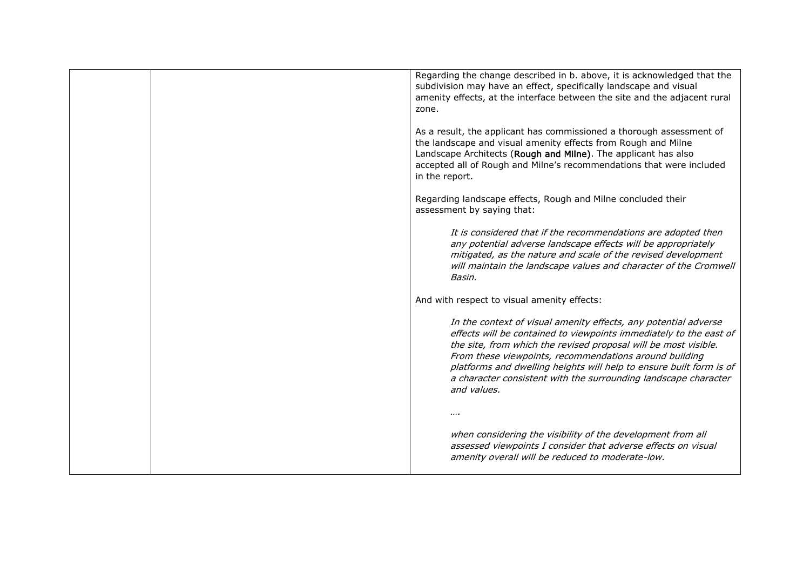| Regarding the change described in b. above, it is acknowledged that the<br>subdivision may have an effect, specifically landscape and visual<br>amenity effects, at the interface between the site and the adjacent rural<br>zone.                                                                                                                                                                                          |
|-----------------------------------------------------------------------------------------------------------------------------------------------------------------------------------------------------------------------------------------------------------------------------------------------------------------------------------------------------------------------------------------------------------------------------|
| As a result, the applicant has commissioned a thorough assessment of<br>the landscape and visual amenity effects from Rough and Milne<br>Landscape Architects (Rough and Milne). The applicant has also<br>accepted all of Rough and Milne's recommendations that were included<br>in the report.                                                                                                                           |
| Regarding landscape effects, Rough and Milne concluded their<br>assessment by saying that:                                                                                                                                                                                                                                                                                                                                  |
| It is considered that if the recommendations are adopted then<br>any potential adverse landscape effects will be appropriately<br>mitigated, as the nature and scale of the revised development<br>will maintain the landscape values and character of the Cromwell<br>Basin.                                                                                                                                               |
| And with respect to visual amenity effects:                                                                                                                                                                                                                                                                                                                                                                                 |
| In the context of visual amenity effects, any potential adverse<br>effects will be contained to viewpoints immediately to the east of<br>the site, from which the revised proposal will be most visible.<br>From these viewpoints, recommendations around building<br>platforms and dwelling heights will help to ensure built form is of<br>a character consistent with the surrounding landscape character<br>and values. |
|                                                                                                                                                                                                                                                                                                                                                                                                                             |
| when considering the visibility of the development from all<br>assessed viewpoints I consider that adverse effects on visual<br>amenity overall will be reduced to moderate-low.                                                                                                                                                                                                                                            |
|                                                                                                                                                                                                                                                                                                                                                                                                                             |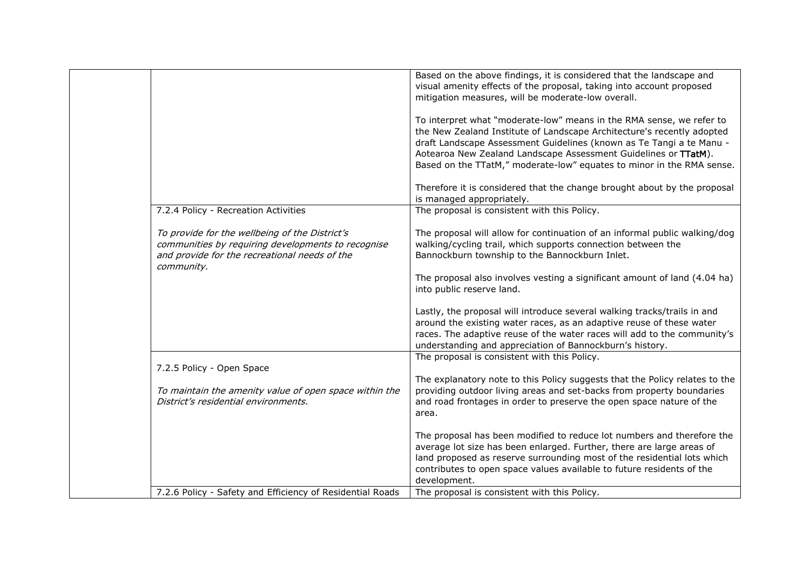|                                                                                                                                                                     | Based on the above findings, it is considered that the landscape and<br>visual amenity effects of the proposal, taking into account proposed<br>mitigation measures, will be moderate-low overall.                                                                                                  |
|---------------------------------------------------------------------------------------------------------------------------------------------------------------------|-----------------------------------------------------------------------------------------------------------------------------------------------------------------------------------------------------------------------------------------------------------------------------------------------------|
|                                                                                                                                                                     | To interpret what "moderate-low" means in the RMA sense, we refer to<br>the New Zealand Institute of Landscape Architecture's recently adopted<br>draft Landscape Assessment Guidelines (known as Te Tangi a te Manu -                                                                              |
|                                                                                                                                                                     | Aotearoa New Zealand Landscape Assessment Guidelines or TTatM).<br>Based on the TTatM," moderate-low" equates to minor in the RMA sense.                                                                                                                                                            |
|                                                                                                                                                                     | Therefore it is considered that the change brought about by the proposal<br>is managed appropriately.                                                                                                                                                                                               |
| 7.2.4 Policy - Recreation Activities                                                                                                                                | The proposal is consistent with this Policy.                                                                                                                                                                                                                                                        |
| To provide for the wellbeing of the District's<br>communities by requiring developments to recognise<br>and provide for the recreational needs of the<br>community. | The proposal will allow for continuation of an informal public walking/dog<br>walking/cycling trail, which supports connection between the<br>Bannockburn township to the Bannockburn Inlet.                                                                                                        |
|                                                                                                                                                                     | The proposal also involves vesting a significant amount of land (4.04 ha)<br>into public reserve land.                                                                                                                                                                                              |
|                                                                                                                                                                     | Lastly, the proposal will introduce several walking tracks/trails in and<br>around the existing water races, as an adaptive reuse of these water<br>races. The adaptive reuse of the water races will add to the community's<br>understanding and appreciation of Bannockburn's history.            |
|                                                                                                                                                                     | The proposal is consistent with this Policy.                                                                                                                                                                                                                                                        |
| 7.2.5 Policy - Open Space                                                                                                                                           |                                                                                                                                                                                                                                                                                                     |
| To maintain the amenity value of open space within the<br>District's residential environments.                                                                      | The explanatory note to this Policy suggests that the Policy relates to the<br>providing outdoor living areas and set-backs from property boundaries<br>and road frontages in order to preserve the open space nature of the<br>area.                                                               |
|                                                                                                                                                                     | The proposal has been modified to reduce lot numbers and therefore the<br>average lot size has been enlarged. Further, there are large areas of<br>land proposed as reserve surrounding most of the residential lots which<br>contributes to open space values available to future residents of the |
| 7.2.6 Policy - Safety and Efficiency of Residential Roads                                                                                                           | development.<br>The proposal is consistent with this Policy.                                                                                                                                                                                                                                        |
|                                                                                                                                                                     |                                                                                                                                                                                                                                                                                                     |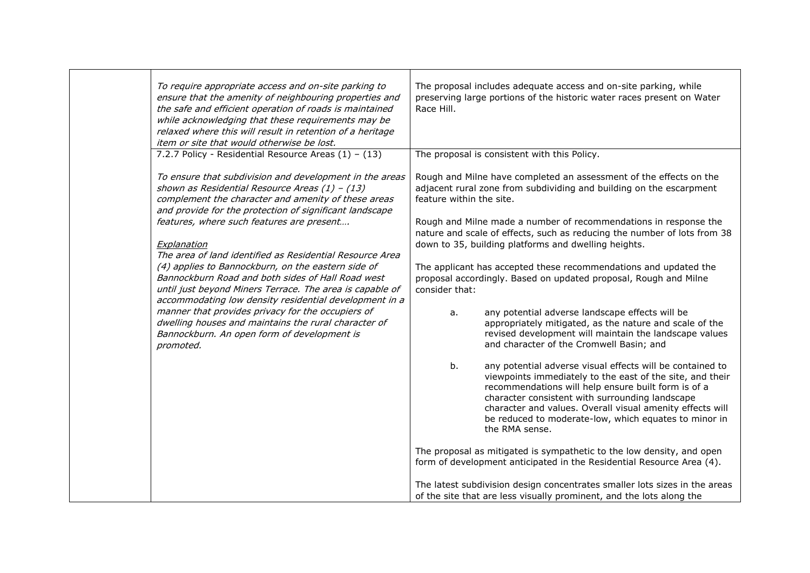|                          | To require appropriate access and on-site parking to<br>ensure that the amenity of neighbouring properties and<br>the safe and efficient operation of roads is maintained<br>while acknowledging that these requirements may be<br>relaxed where this will result in retention of a heritage<br>item or site that would otherwise be lost.                                                                                                                                                                                                                                                                                                                                                                                                                                                      | The proposal includes adequate access and on-site parking, while<br>preserving large portions of the historic water races present on Water<br>Race Hill.                                                                                                                                                                                                                                                                                                                                                                                                                                                                                                                                                                                                                                                                                                                                                                                                                                                                                                                                                                                                                                            |  |
|--------------------------|-------------------------------------------------------------------------------------------------------------------------------------------------------------------------------------------------------------------------------------------------------------------------------------------------------------------------------------------------------------------------------------------------------------------------------------------------------------------------------------------------------------------------------------------------------------------------------------------------------------------------------------------------------------------------------------------------------------------------------------------------------------------------------------------------|-----------------------------------------------------------------------------------------------------------------------------------------------------------------------------------------------------------------------------------------------------------------------------------------------------------------------------------------------------------------------------------------------------------------------------------------------------------------------------------------------------------------------------------------------------------------------------------------------------------------------------------------------------------------------------------------------------------------------------------------------------------------------------------------------------------------------------------------------------------------------------------------------------------------------------------------------------------------------------------------------------------------------------------------------------------------------------------------------------------------------------------------------------------------------------------------------------|--|
| Explanation<br>promoted. | 7.2.7 Policy - Residential Resource Areas $(1) - (13)$<br>To ensure that subdivision and development in the areas<br>shown as Residential Resource Areas $(1)$ - $(13)$<br>complement the character and amenity of these areas<br>and provide for the protection of significant landscape<br>features, where such features are present<br>The area of land identified as Residential Resource Area<br>(4) applies to Bannockburn, on the eastern side of<br>Bannockburn Road and both sides of Hall Road west<br>until just beyond Miners Terrace. The area is capable of<br>accommodating low density residential development in a<br>manner that provides privacy for the occupiers of<br>dwelling houses and maintains the rural character of<br>Bannockburn. An open form of development is | The proposal is consistent with this Policy.<br>Rough and Milne have completed an assessment of the effects on the<br>adjacent rural zone from subdividing and building on the escarpment<br>feature within the site.<br>Rough and Milne made a number of recommendations in response the<br>nature and scale of effects, such as reducing the number of lots from 38<br>down to 35, building platforms and dwelling heights.<br>The applicant has accepted these recommendations and updated the<br>proposal accordingly. Based on updated proposal, Rough and Milne<br>consider that:<br>any potential adverse landscape effects will be<br>a.<br>appropriately mitigated, as the nature and scale of the<br>revised development will maintain the landscape values<br>and character of the Cromwell Basin; and<br>b.<br>any potential adverse visual effects will be contained to<br>viewpoints immediately to the east of the site, and their<br>recommendations will help ensure built form is of a<br>character consistent with surrounding landscape<br>character and values. Overall visual amenity effects will<br>be reduced to moderate-low, which equates to minor in<br>the RMA sense. |  |
|                          |                                                                                                                                                                                                                                                                                                                                                                                                                                                                                                                                                                                                                                                                                                                                                                                                 | The proposal as mitigated is sympathetic to the low density, and open<br>form of development anticipated in the Residential Resource Area (4).<br>The latest subdivision design concentrates smaller lots sizes in the areas<br>of the site that are less visually prominent, and the lots along the                                                                                                                                                                                                                                                                                                                                                                                                                                                                                                                                                                                                                                                                                                                                                                                                                                                                                                |  |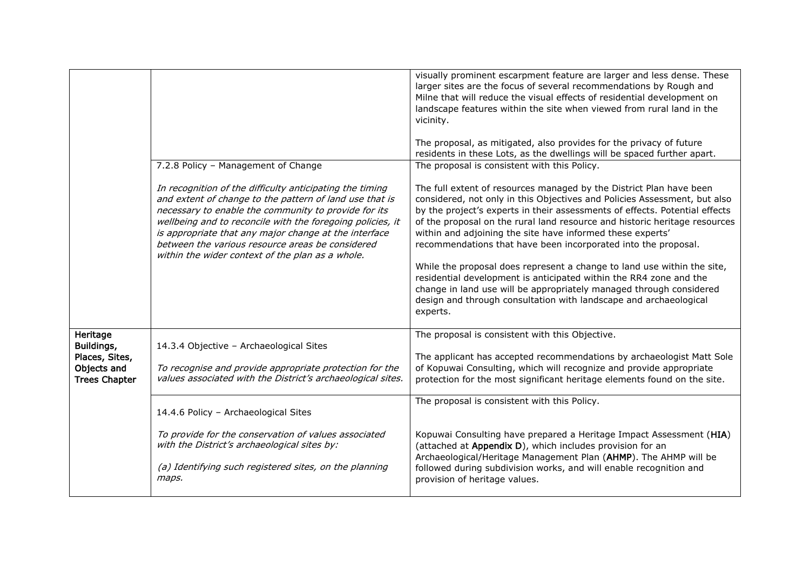|                                                                                 | 7.2.8 Policy - Management of Change<br>In recognition of the difficulty anticipating the timing<br>and extent of change to the pattern of land use that is<br>necessary to enable the community to provide for its<br>wellbeing and to reconcile with the foregoing policies, it<br>is appropriate that any major change at the interface<br>between the various resource areas be considered<br>within the wider context of the plan as a whole. | visually prominent escarpment feature are larger and less dense. These<br>larger sites are the focus of several recommendations by Rough and<br>Milne that will reduce the visual effects of residential development on<br>landscape features within the site when viewed from rural land in the<br>vicinity.<br>The proposal, as mitigated, also provides for the privacy of future<br>residents in these Lots, as the dwellings will be spaced further apart.<br>The proposal is consistent with this Policy.<br>The full extent of resources managed by the District Plan have been<br>considered, not only in this Objectives and Policies Assessment, but also<br>by the project's experts in their assessments of effects. Potential effects<br>of the proposal on the rural land resource and historic heritage resources<br>within and adjoining the site have informed these experts'<br>recommendations that have been incorporated into the proposal.<br>While the proposal does represent a change to land use within the site,<br>residential development is anticipated within the RR4 zone and the<br>change in land use will be appropriately managed through considered<br>design and through consultation with landscape and archaeological<br>experts. |
|---------------------------------------------------------------------------------|---------------------------------------------------------------------------------------------------------------------------------------------------------------------------------------------------------------------------------------------------------------------------------------------------------------------------------------------------------------------------------------------------------------------------------------------------|---------------------------------------------------------------------------------------------------------------------------------------------------------------------------------------------------------------------------------------------------------------------------------------------------------------------------------------------------------------------------------------------------------------------------------------------------------------------------------------------------------------------------------------------------------------------------------------------------------------------------------------------------------------------------------------------------------------------------------------------------------------------------------------------------------------------------------------------------------------------------------------------------------------------------------------------------------------------------------------------------------------------------------------------------------------------------------------------------------------------------------------------------------------------------------------------------------------------------------------------------------------------------|
| Heritage<br>Buildings,<br>Places, Sites,<br>Objects and<br><b>Trees Chapter</b> | 14.3.4 Objective - Archaeological Sites<br>To recognise and provide appropriate protection for the<br>values associated with the District's archaeological sites.                                                                                                                                                                                                                                                                                 | The proposal is consistent with this Objective.<br>The applicant has accepted recommendations by archaeologist Matt Sole<br>of Kopuwai Consulting, which will recognize and provide appropriate<br>protection for the most significant heritage elements found on the site.                                                                                                                                                                                                                                                                                                                                                                                                                                                                                                                                                                                                                                                                                                                                                                                                                                                                                                                                                                                               |
|                                                                                 | 14.4.6 Policy - Archaeological Sites<br>To provide for the conservation of values associated<br>with the District's archaeological sites by:<br>(a) Identifying such registered sites, on the planning<br>maps.                                                                                                                                                                                                                                   | The proposal is consistent with this Policy.<br>Kopuwai Consulting have prepared a Heritage Impact Assessment (HIA)<br>(attached at Appendix D), which includes provision for an<br>Archaeological/Heritage Management Plan (AHMP). The AHMP will be<br>followed during subdivision works, and will enable recognition and<br>provision of heritage values.                                                                                                                                                                                                                                                                                                                                                                                                                                                                                                                                                                                                                                                                                                                                                                                                                                                                                                               |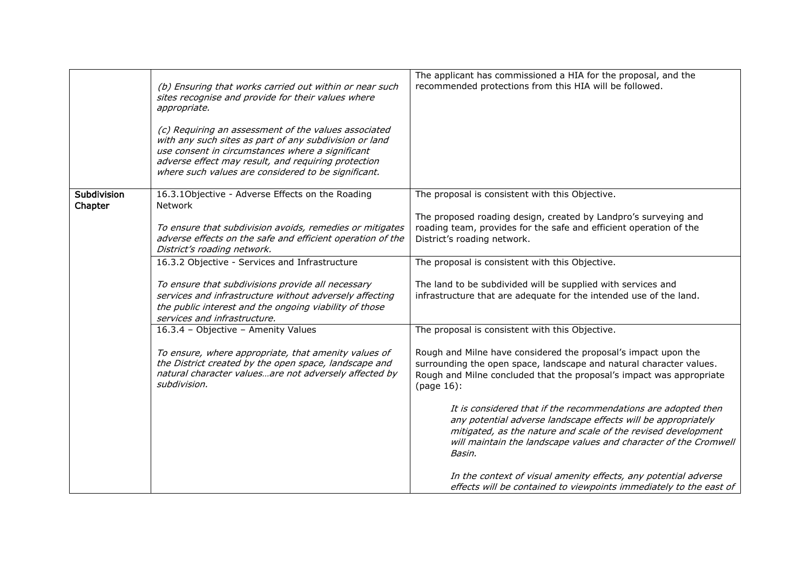|                        | (b) Ensuring that works carried out within or near such<br>sites recognise and provide for their values where<br>appropriate.<br>(c) Requiring an assessment of the values associated<br>with any such sites as part of any subdivision or land<br>use consent in circumstances where a significant<br>adverse effect may result, and requiring protection<br>where such values are considered to be significant. | The applicant has commissioned a HIA for the proposal, and the<br>recommended protections from this HIA will be followed.                                                                                                                                                                                                                                                                                              |
|------------------------|-------------------------------------------------------------------------------------------------------------------------------------------------------------------------------------------------------------------------------------------------------------------------------------------------------------------------------------------------------------------------------------------------------------------|------------------------------------------------------------------------------------------------------------------------------------------------------------------------------------------------------------------------------------------------------------------------------------------------------------------------------------------------------------------------------------------------------------------------|
| Subdivision<br>Chapter | 16.3.10bjective - Adverse Effects on the Roading<br>Network<br>To ensure that subdivision avoids, remedies or mitigates<br>adverse effects on the safe and efficient operation of the<br>District's roading network.                                                                                                                                                                                              | The proposal is consistent with this Objective.<br>The proposed roading design, created by Landpro's surveying and<br>roading team, provides for the safe and efficient operation of the<br>District's roading network.                                                                                                                                                                                                |
|                        | 16.3.2 Objective - Services and Infrastructure<br>To ensure that subdivisions provide all necessary<br>services and infrastructure without adversely affecting<br>the public interest and the ongoing viability of those<br>services and infrastructure.                                                                                                                                                          | The proposal is consistent with this Objective.<br>The land to be subdivided will be supplied with services and<br>infrastructure that are adequate for the intended use of the land.                                                                                                                                                                                                                                  |
|                        | 16.3.4 - Objective - Amenity Values<br>To ensure, where appropriate, that amenity values of<br>the District created by the open space, landscape and<br>natural character valuesare not adversely affected by<br>subdivision.                                                                                                                                                                                     | The proposal is consistent with this Objective.<br>Rough and Milne have considered the proposal's impact upon the<br>surrounding the open space, landscape and natural character values.<br>Rough and Milne concluded that the proposal's impact was appropriate<br>(page 16):                                                                                                                                         |
|                        |                                                                                                                                                                                                                                                                                                                                                                                                                   | It is considered that if the recommendations are adopted then<br>any potential adverse landscape effects will be appropriately<br>mitigated, as the nature and scale of the revised development<br>will maintain the landscape values and character of the Cromwell<br>Basin.<br>In the context of visual amenity effects, any potential adverse<br>effects will be contained to viewpoints immediately to the east of |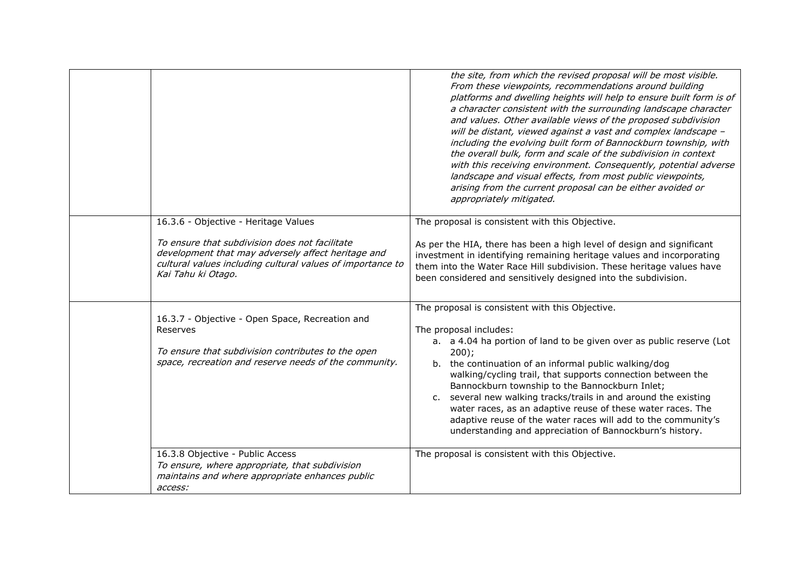|                                                                                                                                                                                                                                  | the site, from which the revised proposal will be most visible.<br>From these viewpoints, recommendations around building<br>platforms and dwelling heights will help to ensure built form is of<br>a character consistent with the surrounding landscape character<br>and values. Other available views of the proposed subdivision<br>will be distant, viewed against a vast and complex landscape -<br>including the evolving built form of Bannockburn township, with<br>the overall bulk, form and scale of the subdivision in context<br>with this receiving environment. Consequently, potential adverse<br>landscape and visual effects, from most public viewpoints,<br>arising from the current proposal can be either avoided or<br>appropriately mitigated. |
|----------------------------------------------------------------------------------------------------------------------------------------------------------------------------------------------------------------------------------|-------------------------------------------------------------------------------------------------------------------------------------------------------------------------------------------------------------------------------------------------------------------------------------------------------------------------------------------------------------------------------------------------------------------------------------------------------------------------------------------------------------------------------------------------------------------------------------------------------------------------------------------------------------------------------------------------------------------------------------------------------------------------|
| 16.3.6 - Objective - Heritage Values<br>To ensure that subdivision does not facilitate<br>development that may adversely affect heritage and<br>cultural values including cultural values of importance to<br>Kai Tahu ki Otago. | The proposal is consistent with this Objective.<br>As per the HIA, there has been a high level of design and significant<br>investment in identifying remaining heritage values and incorporating<br>them into the Water Race Hill subdivision. These heritage values have<br>been considered and sensitively designed into the subdivision.                                                                                                                                                                                                                                                                                                                                                                                                                            |
| 16.3.7 - Objective - Open Space, Recreation and<br>Reserves<br>To ensure that subdivision contributes to the open<br>space, recreation and reserve needs of the community.                                                       | The proposal is consistent with this Objective.<br>The proposal includes:<br>a. a 4.04 ha portion of land to be given over as public reserve (Lot<br>200);<br>b. the continuation of an informal public walking/dog<br>walking/cycling trail, that supports connection between the<br>Bannockburn township to the Bannockburn Inlet;<br>c. several new walking tracks/trails in and around the existing<br>water races, as an adaptive reuse of these water races. The<br>adaptive reuse of the water races will add to the community's<br>understanding and appreciation of Bannockburn's history.                                                                                                                                                                     |
| 16.3.8 Objective - Public Access<br>To ensure, where appropriate, that subdivision<br>maintains and where appropriate enhances public<br>access:                                                                                 | The proposal is consistent with this Objective.                                                                                                                                                                                                                                                                                                                                                                                                                                                                                                                                                                                                                                                                                                                         |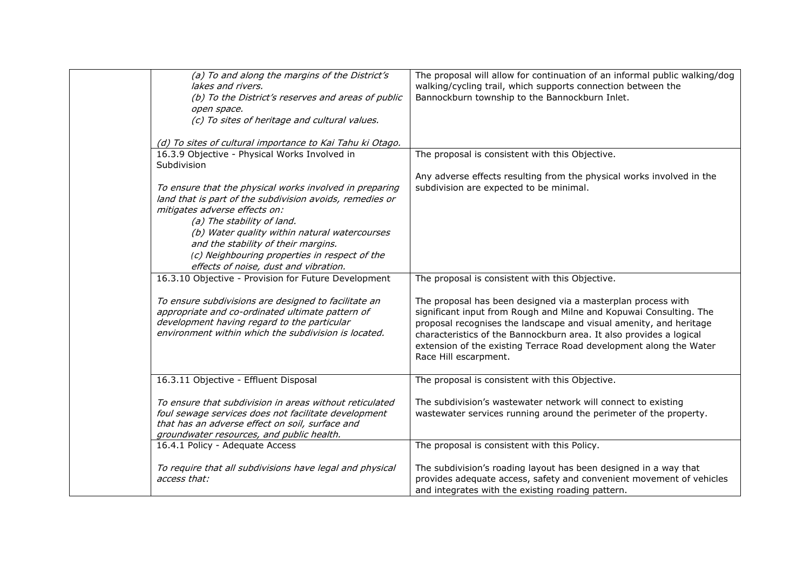| (a) To and along the margins of the District's                                                                                                                       | The proposal will allow for continuation of an informal public walking/dog                                                                                                                                                                                         |
|----------------------------------------------------------------------------------------------------------------------------------------------------------------------|--------------------------------------------------------------------------------------------------------------------------------------------------------------------------------------------------------------------------------------------------------------------|
| lakes and rivers.                                                                                                                                                    | walking/cycling trail, which supports connection between the                                                                                                                                                                                                       |
|                                                                                                                                                                      |                                                                                                                                                                                                                                                                    |
| (b) To the District's reserves and areas of public                                                                                                                   | Bannockburn township to the Bannockburn Inlet.                                                                                                                                                                                                                     |
| open space.                                                                                                                                                          |                                                                                                                                                                                                                                                                    |
| (c) To sites of heritage and cultural values.                                                                                                                        |                                                                                                                                                                                                                                                                    |
|                                                                                                                                                                      |                                                                                                                                                                                                                                                                    |
| (d) To sites of cultural importance to Kai Tahu ki Otago.                                                                                                            |                                                                                                                                                                                                                                                                    |
| 16.3.9 Objective - Physical Works Involved in                                                                                                                        | The proposal is consistent with this Objective.                                                                                                                                                                                                                    |
| Subdivision                                                                                                                                                          |                                                                                                                                                                                                                                                                    |
|                                                                                                                                                                      | Any adverse effects resulting from the physical works involved in the                                                                                                                                                                                              |
|                                                                                                                                                                      |                                                                                                                                                                                                                                                                    |
| To ensure that the physical works involved in preparing                                                                                                              | subdivision are expected to be minimal.                                                                                                                                                                                                                            |
| land that is part of the subdivision avoids, remedies or                                                                                                             |                                                                                                                                                                                                                                                                    |
| mitigates adverse effects on:                                                                                                                                        |                                                                                                                                                                                                                                                                    |
| (a) The stability of land.                                                                                                                                           |                                                                                                                                                                                                                                                                    |
| (b) Water quality within natural watercourses                                                                                                                        |                                                                                                                                                                                                                                                                    |
| and the stability of their margins.                                                                                                                                  |                                                                                                                                                                                                                                                                    |
| (c) Neighbouring properties in respect of the                                                                                                                        |                                                                                                                                                                                                                                                                    |
| effects of noise, dust and vibration.                                                                                                                                |                                                                                                                                                                                                                                                                    |
|                                                                                                                                                                      |                                                                                                                                                                                                                                                                    |
| 16.3.10 Objective - Provision for Future Development                                                                                                                 | The proposal is consistent with this Objective.                                                                                                                                                                                                                    |
|                                                                                                                                                                      |                                                                                                                                                                                                                                                                    |
| To ensure subdivisions are designed to facilitate an                                                                                                                 | The proposal has been designed via a masterplan process with                                                                                                                                                                                                       |
| appropriate and co-ordinated ultimate pattern of                                                                                                                     | significant input from Rough and Milne and Kopuwai Consulting. The                                                                                                                                                                                                 |
| development having regard to the particular                                                                                                                          | proposal recognises the landscape and visual amenity, and heritage                                                                                                                                                                                                 |
| environment within which the subdivision is located.                                                                                                                 | characteristics of the Bannockburn area. It also provides a logical                                                                                                                                                                                                |
|                                                                                                                                                                      | extension of the existing Terrace Road development along the Water                                                                                                                                                                                                 |
|                                                                                                                                                                      | Race Hill escarpment.                                                                                                                                                                                                                                              |
|                                                                                                                                                                      |                                                                                                                                                                                                                                                                    |
|                                                                                                                                                                      |                                                                                                                                                                                                                                                                    |
| 16.3.11 Objective - Effluent Disposal                                                                                                                                | The proposal is consistent with this Objective.                                                                                                                                                                                                                    |
|                                                                                                                                                                      |                                                                                                                                                                                                                                                                    |
| To ensure that subdivision in areas without reticulated                                                                                                              | The subdivision's wastewater network will connect to existing                                                                                                                                                                                                      |
|                                                                                                                                                                      |                                                                                                                                                                                                                                                                    |
|                                                                                                                                                                      |                                                                                                                                                                                                                                                                    |
|                                                                                                                                                                      |                                                                                                                                                                                                                                                                    |
| 16.4.1 Policy - Adequate Access                                                                                                                                      | The proposal is consistent with this Policy.                                                                                                                                                                                                                       |
|                                                                                                                                                                      |                                                                                                                                                                                                                                                                    |
| To require that all subdivisions have legal and physical                                                                                                             |                                                                                                                                                                                                                                                                    |
|                                                                                                                                                                      |                                                                                                                                                                                                                                                                    |
|                                                                                                                                                                      |                                                                                                                                                                                                                                                                    |
| foul sewage services does not facilitate development<br>that has an adverse effect on soil, surface and<br>groundwater resources, and public health.<br>access that: | wastewater services running around the perimeter of the property.<br>The subdivision's roading layout has been designed in a way that<br>provides adequate access, safety and convenient movement of vehicles<br>and integrates with the existing roading pattern. |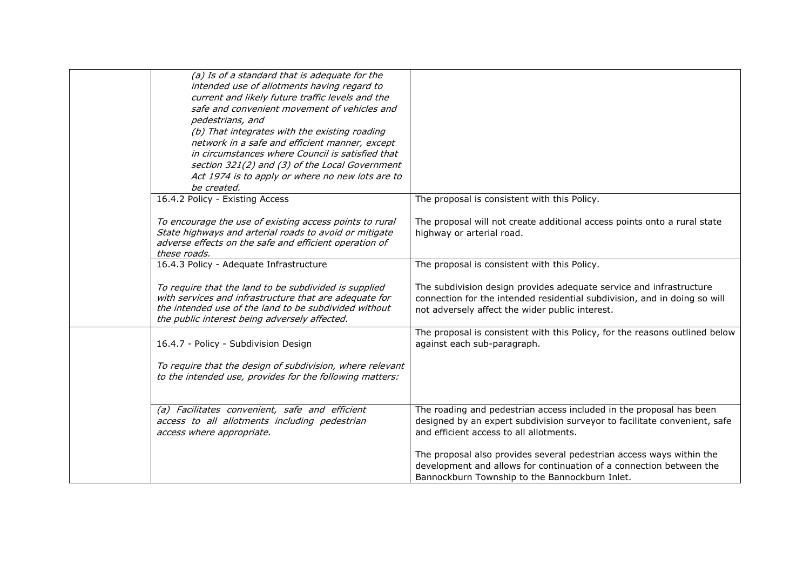| (a) Is of a standard that is adequate for the<br>intended use of allotments having regard to<br>current and likely future traffic levels and the<br>safe and convenient movement of vehicles and<br>pedestrians, and<br>(b) That integrates with the existing roading<br>network in a safe and efficient manner, except<br>in circumstances where Council is satisfied that<br>section 321(2) and (3) of the Local Government<br>Act 1974 is to apply or where no new lots are to<br>be created. |                                                                                                                                                                                                     |
|--------------------------------------------------------------------------------------------------------------------------------------------------------------------------------------------------------------------------------------------------------------------------------------------------------------------------------------------------------------------------------------------------------------------------------------------------------------------------------------------------|-----------------------------------------------------------------------------------------------------------------------------------------------------------------------------------------------------|
| 16.4.2 Policy - Existing Access                                                                                                                                                                                                                                                                                                                                                                                                                                                                  | The proposal is consistent with this Policy.                                                                                                                                                        |
| To encourage the use of existing access points to rural<br>State highways and arterial roads to avoid or mitigate<br>adverse effects on the safe and efficient operation of<br>these roads.                                                                                                                                                                                                                                                                                                      | The proposal will not create additional access points onto a rural state<br>highway or arterial road.                                                                                               |
| 16.4.3 Policy - Adequate Infrastructure                                                                                                                                                                                                                                                                                                                                                                                                                                                          | The proposal is consistent with this Policy.                                                                                                                                                        |
| To require that the land to be subdivided is supplied<br>with services and infrastructure that are adequate for<br>the intended use of the land to be subdivided without<br>the public interest being adversely affected.                                                                                                                                                                                                                                                                        | The subdivision design provides adequate service and infrastructure<br>connection for the intended residential subdivision, and in doing so will<br>not adversely affect the wider public interest. |
| 16.4.7 - Policy - Subdivision Design                                                                                                                                                                                                                                                                                                                                                                                                                                                             | The proposal is consistent with this Policy, for the reasons outlined below<br>against each sub-paragraph.                                                                                          |
| To require that the design of subdivision, where relevant<br>to the intended use, provides for the following matters:                                                                                                                                                                                                                                                                                                                                                                            |                                                                                                                                                                                                     |
| (a) Facilitates convenient, safe and efficient<br>access to all allotments including pedestrian<br>access where appropriate.                                                                                                                                                                                                                                                                                                                                                                     | The roading and pedestrian access included in the proposal has been<br>designed by an expert subdivision surveyor to facilitate convenient, safe<br>and efficient access to all allotments.         |
|                                                                                                                                                                                                                                                                                                                                                                                                                                                                                                  | The proposal also provides several pedestrian access ways within the<br>development and allows for continuation of a connection between the<br>Bannockburn Township to the Bannockburn Inlet.       |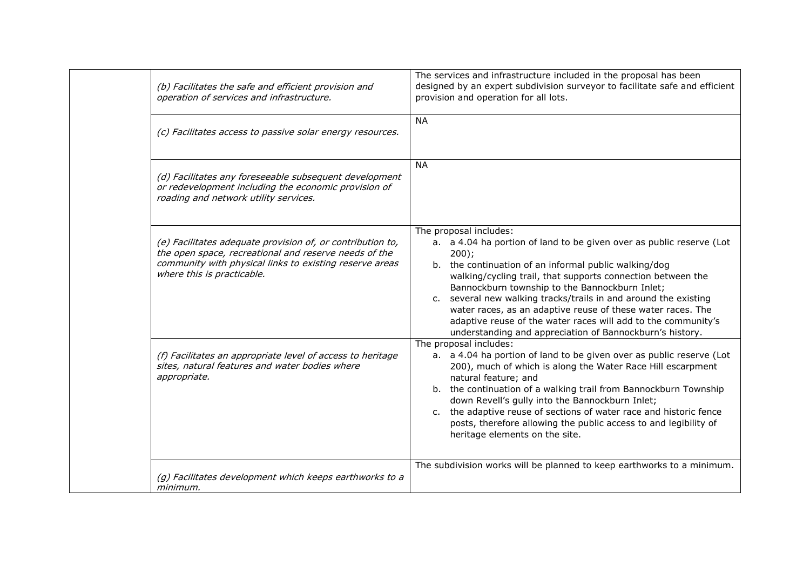| (b) Facilitates the safe and efficient provision and<br>operation of services and infrastructure.                                                                                                            | The services and infrastructure included in the proposal has been<br>designed by an expert subdivision surveyor to facilitate safe and efficient<br>provision and operation for all lots.                                                                                                                                                                                                                                                                                                                                                          |
|--------------------------------------------------------------------------------------------------------------------------------------------------------------------------------------------------------------|----------------------------------------------------------------------------------------------------------------------------------------------------------------------------------------------------------------------------------------------------------------------------------------------------------------------------------------------------------------------------------------------------------------------------------------------------------------------------------------------------------------------------------------------------|
| (c) Facilitates access to passive solar energy resources.                                                                                                                                                    | <b>NA</b>                                                                                                                                                                                                                                                                                                                                                                                                                                                                                                                                          |
| (d) Facilitates any foreseeable subsequent development<br>or redevelopment including the economic provision of<br>roading and network utility services.                                                      | <b>NA</b>                                                                                                                                                                                                                                                                                                                                                                                                                                                                                                                                          |
| (e) Facilitates adequate provision of, or contribution to,<br>the open space, recreational and reserve needs of the<br>community with physical links to existing reserve areas<br>where this is practicable. | The proposal includes:<br>a. a 4.04 ha portion of land to be given over as public reserve (Lot<br>$200$ ;<br>b. the continuation of an informal public walking/dog<br>walking/cycling trail, that supports connection between the<br>Bannockburn township to the Bannockburn Inlet;<br>c. several new walking tracks/trails in and around the existing<br>water races, as an adaptive reuse of these water races. The<br>adaptive reuse of the water races will add to the community's<br>understanding and appreciation of Bannockburn's history. |
| (f) Facilitates an appropriate level of access to heritage<br>sites, natural features and water bodies where<br>appropriate.                                                                                 | The proposal includes:<br>a. a 4.04 ha portion of land to be given over as public reserve (Lot<br>200), much of which is along the Water Race Hill escarpment<br>natural feature; and<br>b. the continuation of a walking trail from Bannockburn Township<br>down Revell's gully into the Bannockburn Inlet;<br>c. the adaptive reuse of sections of water race and historic fence<br>posts, therefore allowing the public access to and legibility of<br>heritage elements on the site.                                                           |
| (g) Facilitates development which keeps earthworks to a<br>minimum.                                                                                                                                          | The subdivision works will be planned to keep earthworks to a minimum.                                                                                                                                                                                                                                                                                                                                                                                                                                                                             |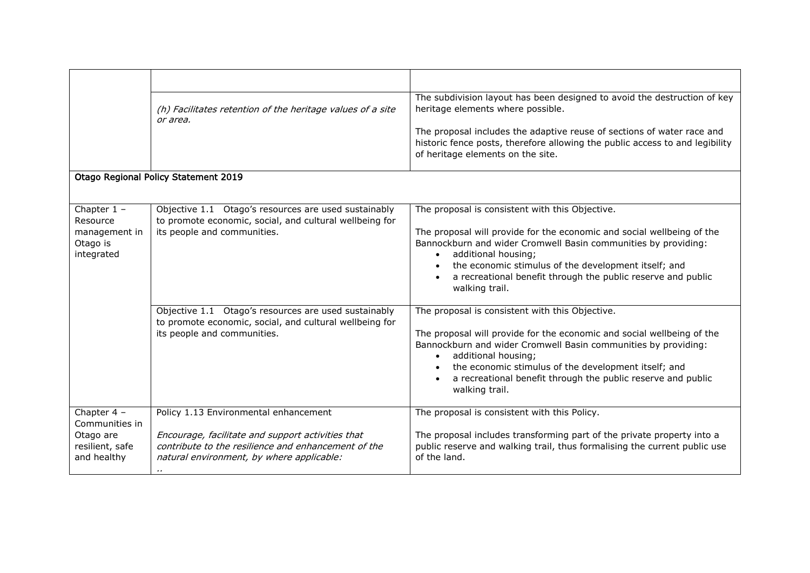|                                                                              | (h) Facilitates retention of the heritage values of a site<br>or area.                                                                                                                                     | The subdivision layout has been designed to avoid the destruction of key<br>heritage elements where possible.                                                                                                                                                                                                                                                             |
|------------------------------------------------------------------------------|------------------------------------------------------------------------------------------------------------------------------------------------------------------------------------------------------------|---------------------------------------------------------------------------------------------------------------------------------------------------------------------------------------------------------------------------------------------------------------------------------------------------------------------------------------------------------------------------|
|                                                                              |                                                                                                                                                                                                            | The proposal includes the adaptive reuse of sections of water race and<br>historic fence posts, therefore allowing the public access to and legibility<br>of heritage elements on the site.                                                                                                                                                                               |
|                                                                              | Otago Regional Policy Statement 2019                                                                                                                                                                       |                                                                                                                                                                                                                                                                                                                                                                           |
|                                                                              |                                                                                                                                                                                                            |                                                                                                                                                                                                                                                                                                                                                                           |
| Chapter $1 -$<br>Resource<br>management in<br>Otago is<br>integrated         | Objective 1.1 Otago's resources are used sustainably<br>to promote economic, social, and cultural wellbeing for<br>its people and communities.                                                             | The proposal is consistent with this Objective.<br>The proposal will provide for the economic and social wellbeing of the<br>Bannockburn and wider Cromwell Basin communities by providing:<br>additional housing;<br>$\bullet$<br>the economic stimulus of the development itself; and<br>a recreational benefit through the public reserve and public<br>walking trail. |
|                                                                              | Objective 1.1 Otago's resources are used sustainably<br>to promote economic, social, and cultural wellbeing for<br>its people and communities.                                                             | The proposal is consistent with this Objective.<br>The proposal will provide for the economic and social wellbeing of the<br>Bannockburn and wider Cromwell Basin communities by providing:<br>additional housing;<br>the economic stimulus of the development itself; and<br>a recreational benefit through the public reserve and public<br>walking trail.              |
| Chapter 4 -<br>Communities in<br>Otago are<br>resilient, safe<br>and healthy | Policy 1.13 Environmental enhancement<br>Encourage, facilitate and support activities that<br>contribute to the resilience and enhancement of the<br>natural environment, by where applicable:<br>$\cdots$ | The proposal is consistent with this Policy.<br>The proposal includes transforming part of the private property into a<br>public reserve and walking trail, thus formalising the current public use<br>of the land.                                                                                                                                                       |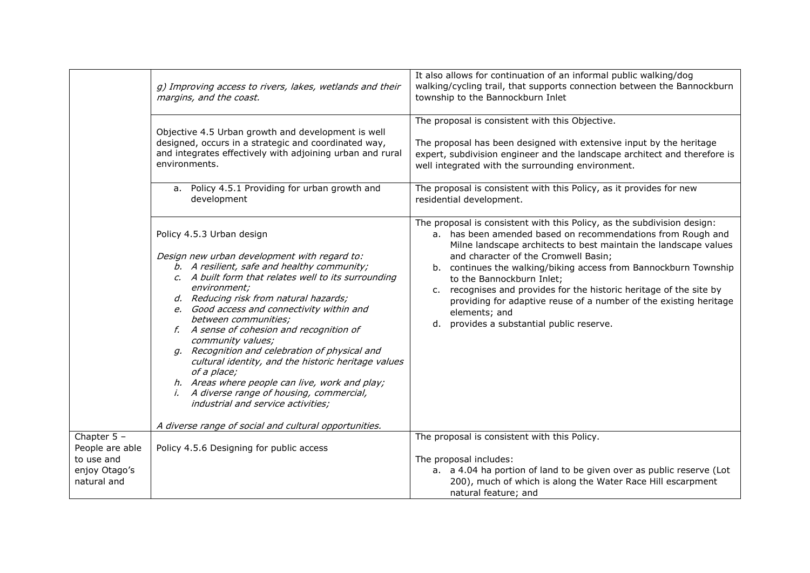|                                                               | g) Improving access to rivers, lakes, wetlands and their<br>margins, and the coast.<br>Objective 4.5 Urban growth and development is well<br>designed, occurs in a strategic and coordinated way,<br>and integrates effectively with adjoining urban and rural                                                                                                                                                                                                                                                                                                                                                                                          | It also allows for continuation of an informal public walking/dog<br>walking/cycling trail, that supports connection between the Bannockburn<br>township to the Bannockburn Inlet<br>The proposal is consistent with this Objective.<br>The proposal has been designed with extensive input by the heritage<br>expert, subdivision engineer and the landscape architect and therefore is                                                                                                                                                                         |
|---------------------------------------------------------------|---------------------------------------------------------------------------------------------------------------------------------------------------------------------------------------------------------------------------------------------------------------------------------------------------------------------------------------------------------------------------------------------------------------------------------------------------------------------------------------------------------------------------------------------------------------------------------------------------------------------------------------------------------|------------------------------------------------------------------------------------------------------------------------------------------------------------------------------------------------------------------------------------------------------------------------------------------------------------------------------------------------------------------------------------------------------------------------------------------------------------------------------------------------------------------------------------------------------------------|
|                                                               | environments.<br>a. Policy 4.5.1 Providing for urban growth and<br>development                                                                                                                                                                                                                                                                                                                                                                                                                                                                                                                                                                          | well integrated with the surrounding environment.<br>The proposal is consistent with this Policy, as it provides for new<br>residential development.                                                                                                                                                                                                                                                                                                                                                                                                             |
|                                                               | Policy 4.5.3 Urban design<br>Design new urban development with regard to:<br>b. A resilient, safe and healthy community;<br>c. A built form that relates well to its surrounding<br>environment;<br>d. Reducing risk from natural hazards;<br>e. Good access and connectivity within and<br>between communities;<br>f. A sense of cohesion and recognition of<br>community values;<br>g. Recognition and celebration of physical and<br>cultural identity, and the historic heritage values<br>of a place;<br>h. Areas where people can live, work and play;<br><i>i.</i> A diverse range of housing, commercial,<br>industrial and service activities; | The proposal is consistent with this Policy, as the subdivision design:<br>a. has been amended based on recommendations from Rough and<br>Milne landscape architects to best maintain the landscape values<br>and character of the Cromwell Basin;<br>b. continues the walking/biking access from Bannockburn Township<br>to the Bannockburn Inlet;<br>c. recognises and provides for the historic heritage of the site by<br>providing for adaptive reuse of a number of the existing heritage<br>elements; and<br>provides a substantial public reserve.<br>d. |
| Chapter $5 -$                                                 | A diverse range of social and cultural opportunities.                                                                                                                                                                                                                                                                                                                                                                                                                                                                                                                                                                                                   | The proposal is consistent with this Policy.                                                                                                                                                                                                                                                                                                                                                                                                                                                                                                                     |
| People are able<br>to use and<br>enjoy Otago's<br>natural and | Policy 4.5.6 Designing for public access                                                                                                                                                                                                                                                                                                                                                                                                                                                                                                                                                                                                                | The proposal includes:<br>a. a 4.04 ha portion of land to be given over as public reserve (Lot<br>200), much of which is along the Water Race Hill escarpment<br>natural feature; and                                                                                                                                                                                                                                                                                                                                                                            |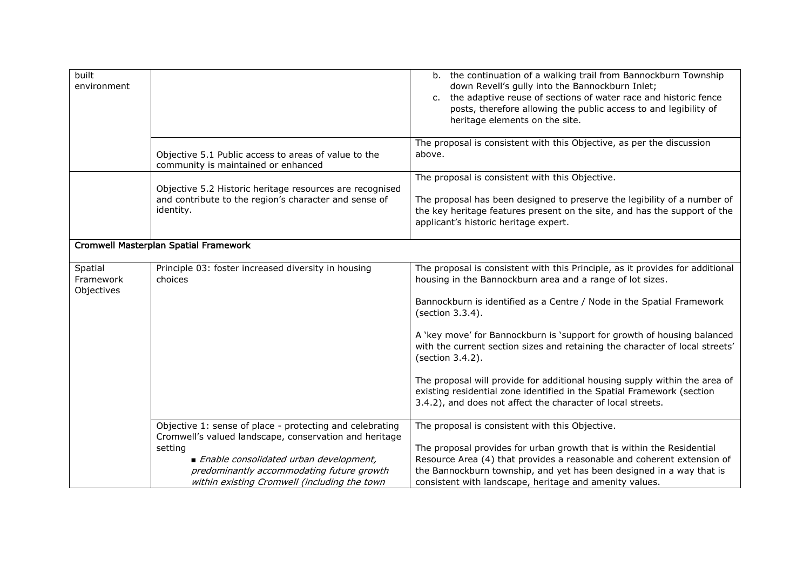| built<br>environment               |                                                                                                                                                                                                                                                                      | b. the continuation of a walking trail from Bannockburn Township<br>down Revell's gully into the Bannockburn Inlet;<br>c. the adaptive reuse of sections of water race and historic fence<br>posts, therefore allowing the public access to and legibility of<br>heritage elements on the site.                                                                                                                                                                                                                                                                                                                                               |
|------------------------------------|----------------------------------------------------------------------------------------------------------------------------------------------------------------------------------------------------------------------------------------------------------------------|-----------------------------------------------------------------------------------------------------------------------------------------------------------------------------------------------------------------------------------------------------------------------------------------------------------------------------------------------------------------------------------------------------------------------------------------------------------------------------------------------------------------------------------------------------------------------------------------------------------------------------------------------|
|                                    | Objective 5.1 Public access to areas of value to the<br>community is maintained or enhanced                                                                                                                                                                          | The proposal is consistent with this Objective, as per the discussion<br>above.                                                                                                                                                                                                                                                                                                                                                                                                                                                                                                                                                               |
|                                    | Objective 5.2 Historic heritage resources are recognised<br>and contribute to the region's character and sense of<br>identity.                                                                                                                                       | The proposal is consistent with this Objective.<br>The proposal has been designed to preserve the legibility of a number of<br>the key heritage features present on the site, and has the support of the<br>applicant's historic heritage expert.                                                                                                                                                                                                                                                                                                                                                                                             |
|                                    | Cromwell Masterplan Spatial Framework                                                                                                                                                                                                                                |                                                                                                                                                                                                                                                                                                                                                                                                                                                                                                                                                                                                                                               |
| Spatial<br>Framework<br>Objectives | Principle 03: foster increased diversity in housing<br>choices                                                                                                                                                                                                       | The proposal is consistent with this Principle, as it provides for additional<br>housing in the Bannockburn area and a range of lot sizes.<br>Bannockburn is identified as a Centre / Node in the Spatial Framework<br>(section 3.3.4).<br>A 'key move' for Bannockburn is 'support for growth of housing balanced<br>with the current section sizes and retaining the character of local streets'<br>(section 3.4.2).<br>The proposal will provide for additional housing supply within the area of<br>existing residential zone identified in the Spatial Framework (section<br>3.4.2), and does not affect the character of local streets. |
|                                    | Objective 1: sense of place - protecting and celebrating<br>Cromwell's valued landscape, conservation and heritage<br>setting<br>Enable consolidated urban development,<br>predominantly accommodating future growth<br>within existing Cromwell (including the town | The proposal is consistent with this Objective.<br>The proposal provides for urban growth that is within the Residential<br>Resource Area (4) that provides a reasonable and coherent extension of<br>the Bannockburn township, and yet has been designed in a way that is<br>consistent with landscape, heritage and amenity values.                                                                                                                                                                                                                                                                                                         |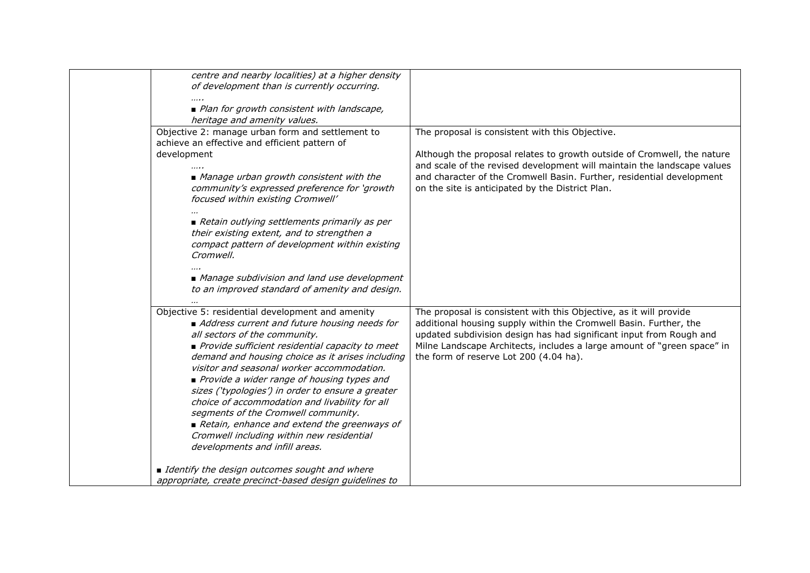| centre and nearby localities) at a higher density       |                                                                         |
|---------------------------------------------------------|-------------------------------------------------------------------------|
| of development than is currently occurring.             |                                                                         |
|                                                         |                                                                         |
| ■ Plan for growth consistent with landscape,            |                                                                         |
| heritage and amenity values.                            |                                                                         |
| Objective 2: manage urban form and settlement to        | The proposal is consistent with this Objective.                         |
| achieve an effective and efficient pattern of           |                                                                         |
| development                                             | Although the proposal relates to growth outside of Cromwell, the nature |
|                                                         | and scale of the revised development will maintain the landscape values |
| Manage urban growth consistent with the                 | and character of the Cromwell Basin. Further, residential development   |
| community's expressed preference for 'growth            | on the site is anticipated by the District Plan.                        |
| focused within existing Cromwell'                       |                                                                         |
|                                                         |                                                                         |
| Retain outlying settlements primarily as per            |                                                                         |
| their existing extent, and to strengthen a              |                                                                         |
| compact pattern of development within existing          |                                                                         |
| Cromwell.                                               |                                                                         |
|                                                         |                                                                         |
| Manage subdivision and land use development             |                                                                         |
| to an improved standard of amenity and design.          |                                                                         |
|                                                         |                                                                         |
| Objective 5: residential development and amenity        | The proposal is consistent with this Objective, as it will provide      |
| Address current and future housing needs for            | additional housing supply within the Cromwell Basin. Further, the       |
| all sectors of the community.                           | updated subdivision design has had significant input from Rough and     |
| Provide sufficient residential capacity to meet         | Milne Landscape Architects, includes a large amount of "green space" in |
| demand and housing choice as it arises including        | the form of reserve Lot 200 (4.04 ha).                                  |
| visitor and seasonal worker accommodation.              |                                                                         |
| Provide a wider range of housing types and              |                                                                         |
| sizes ('typologies') in order to ensure a greater       |                                                                         |
| choice of accommodation and livability for all          |                                                                         |
| segments of the Cromwell community.                     |                                                                         |
| Retain, enhance and extend the greenways of             |                                                                         |
| Cromwell including within new residential               |                                                                         |
| developments and infill areas.                          |                                                                         |
|                                                         |                                                                         |
| I Identify the design outcomes sought and where         |                                                                         |
| appropriate, create precinct-based design guidelines to |                                                                         |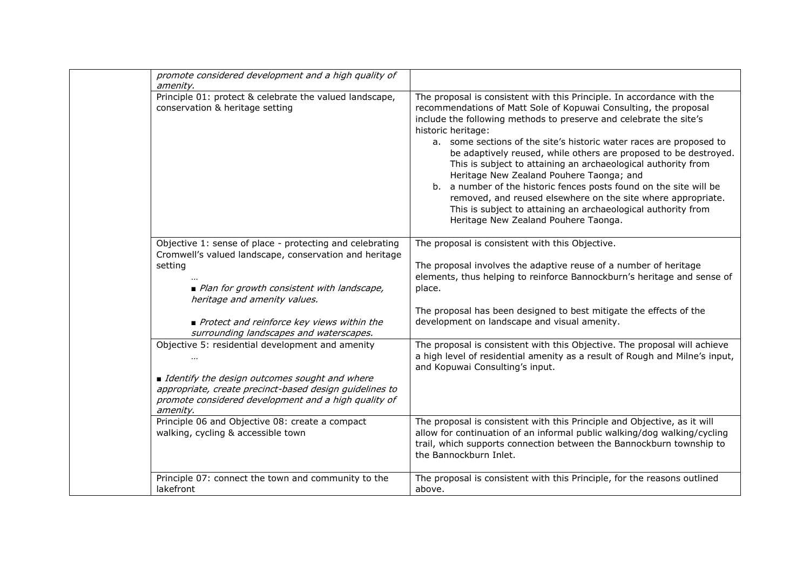| promote considered development and a high quality of<br>amenity.                                                                                                               |                                                                                                                                                                                                                                                                                                                                                                                                                                                                                                                                                                                                                                                                                                                                               |
|--------------------------------------------------------------------------------------------------------------------------------------------------------------------------------|-----------------------------------------------------------------------------------------------------------------------------------------------------------------------------------------------------------------------------------------------------------------------------------------------------------------------------------------------------------------------------------------------------------------------------------------------------------------------------------------------------------------------------------------------------------------------------------------------------------------------------------------------------------------------------------------------------------------------------------------------|
| Principle 01: protect & celebrate the valued landscape,<br>conservation & heritage setting                                                                                     | The proposal is consistent with this Principle. In accordance with the<br>recommendations of Matt Sole of Kopuwai Consulting, the proposal<br>include the following methods to preserve and celebrate the site's<br>historic heritage:<br>a. some sections of the site's historic water races are proposed to<br>be adaptively reused, while others are proposed to be destroyed.<br>This is subject to attaining an archaeological authority from<br>Heritage New Zealand Pouhere Taonga; and<br>b. a number of the historic fences posts found on the site will be<br>removed, and reused elsewhere on the site where appropriate.<br>This is subject to attaining an archaeological authority from<br>Heritage New Zealand Pouhere Taonga. |
| Objective 1: sense of place - protecting and celebrating<br>Cromwell's valued landscape, conservation and heritage                                                             | The proposal is consistent with this Objective.                                                                                                                                                                                                                                                                                                                                                                                                                                                                                                                                                                                                                                                                                               |
| setting                                                                                                                                                                        | The proposal involves the adaptive reuse of a number of heritage<br>elements, thus helping to reinforce Bannockburn's heritage and sense of                                                                                                                                                                                                                                                                                                                                                                                                                                                                                                                                                                                                   |
| ■ Plan for growth consistent with landscape,<br>heritage and amenity values.                                                                                                   | place.                                                                                                                                                                                                                                                                                                                                                                                                                                                                                                                                                                                                                                                                                                                                        |
|                                                                                                                                                                                | The proposal has been designed to best mitigate the effects of the                                                                                                                                                                                                                                                                                                                                                                                                                                                                                                                                                                                                                                                                            |
| Protect and reinforce key views within the<br>surrounding landscapes and waterscapes.                                                                                          | development on landscape and visual amenity.                                                                                                                                                                                                                                                                                                                                                                                                                                                                                                                                                                                                                                                                                                  |
| Objective 5: residential development and amenity                                                                                                                               | The proposal is consistent with this Objective. The proposal will achieve<br>a high level of residential amenity as a result of Rough and Milne's input,<br>and Kopuwai Consulting's input.                                                                                                                                                                                                                                                                                                                                                                                                                                                                                                                                                   |
| I Identify the design outcomes sought and where<br>appropriate, create precinct-based design guidelines to<br>promote considered development and a high quality of<br>amenity. |                                                                                                                                                                                                                                                                                                                                                                                                                                                                                                                                                                                                                                                                                                                                               |
| Principle 06 and Objective 08: create a compact<br>walking, cycling & accessible town                                                                                          | The proposal is consistent with this Principle and Objective, as it will<br>allow for continuation of an informal public walking/dog walking/cycling<br>trail, which supports connection between the Bannockburn township to<br>the Bannockburn Inlet.                                                                                                                                                                                                                                                                                                                                                                                                                                                                                        |
| Principle 07: connect the town and community to the<br>lakefront                                                                                                               | The proposal is consistent with this Principle, for the reasons outlined<br>above.                                                                                                                                                                                                                                                                                                                                                                                                                                                                                                                                                                                                                                                            |